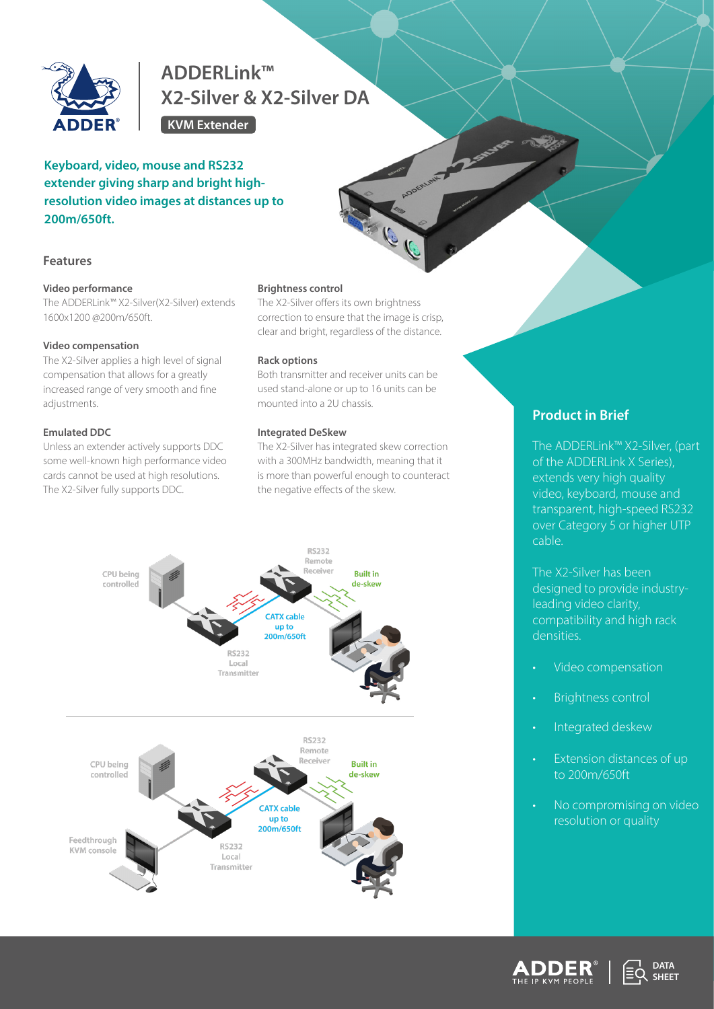

# **ADDERLink™ X2-Silver & X2-Silver DA**

**KVM Extender**

# **Keyboard, video, mouse and RS232 extender giving sharp and bright highresolution video images at distances up to 200m/650ft.**



#### **Video performance**

The ADDERLink™ X2-Silver(X2-Silver) extends 1600x1200 @200m/650ft.

## **Video compensation**

The X2-Silver applies a high level of signal compensation that allows for a greatly increased range of very smooth and fine adjustments.

# **Emulated DDC**

Unless an extender actively supports DDC some well-known high performance video cards cannot be used at high resolutions. The X2-Silver fully supports DDC.

#### **Brightness control**

The X2-Silver offers its own brightness correction to ensure that the image is crisp, clear and bright, regardless of the distance.

## **Rack options**

Both transmitter and receiver units can be used stand-alone or up to 16 units can be mounted into a 2U chassis.

#### **Integrated DeSkew**

The X2-Silver has integrated skew correction with a 300MHz bandwidth, meaning that it is more than powerful enough to counteract the negative effects of the skew.



# **Product in Brief**

The ADDERLink™ X2-Silver, (part of the ADDERLink X Series), extends very high quality video, keyboard, mouse and transparent, high-speed RS232 over Category 5 or higher UTP cable.

The X2-Silver has been designed to provide industryleading video clarity, compatibility and high rack densities.

- Video compensation
- Brightness control
- Integrated deskew
- Extension distances of up to 200m/650ft
- No compromising on video resolution or quality